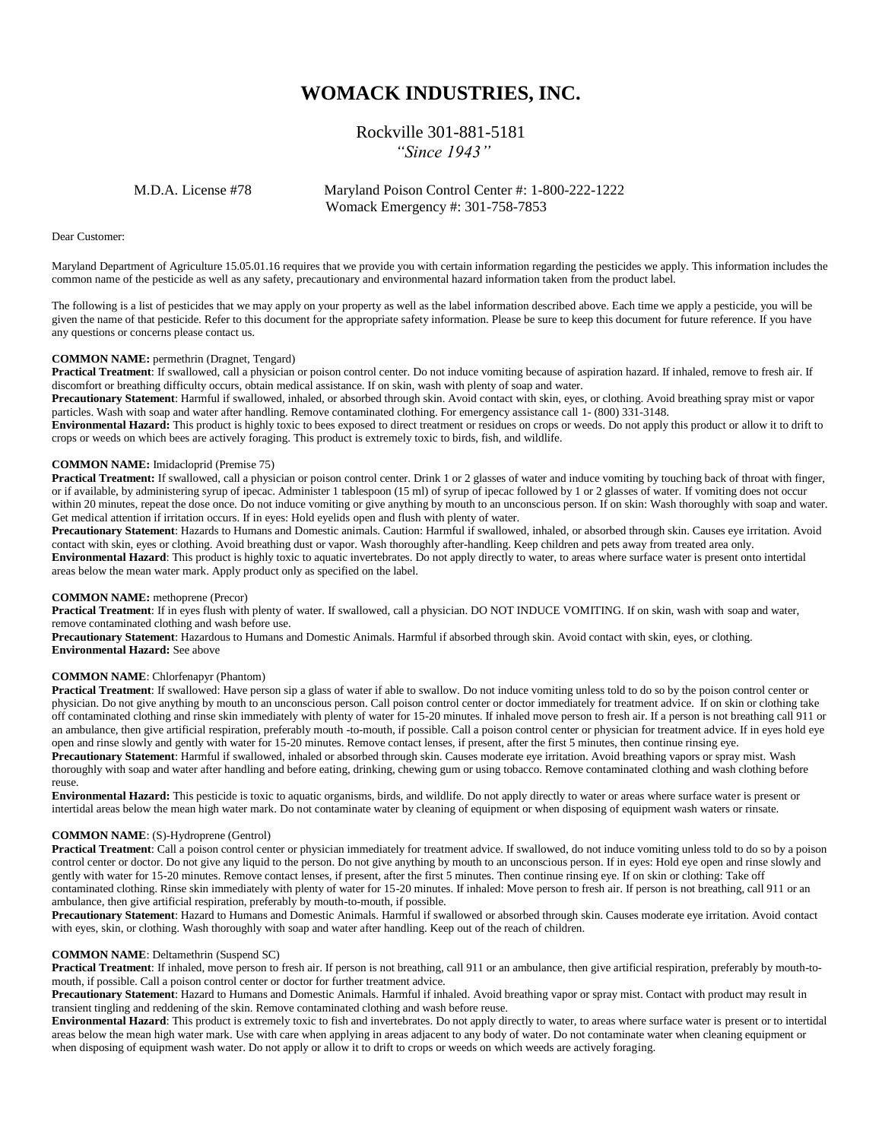# **WOMACK INDUSTRIES, INC.**

## Rockville 301-881-5181 *"Since 1943"*

 M.D.A. License #78 Maryland Poison Control Center #: 1-800-222-1222 Womack Emergency #: 301-758-7853

Dear Customer:

Maryland Department of Agriculture 15.05.01.16 requires that we provide you with certain information regarding the pesticides we apply. This information includes the common name of the pesticide as well as any safety, precautionary and environmental hazard information taken from the product label.

The following is a list of pesticides that we may apply on your property as well as the label information described above. Each time we apply a pesticide, you will be given the name of that pesticide. Refer to this document for the appropriate safety information. Please be sure to keep this document for future reference. If you have any questions or concerns please contact us.

## **COMMON NAME:** permethrin (Dragnet, Tengard)

**Practical Treatment**: If swallowed, call a physician or poison control center. Do not induce vomiting because of aspiration hazard. If inhaled, remove to fresh air. If discomfort or breathing difficulty occurs, obtain medical assistance. If on skin, wash with plenty of soap and water.

**Precautionary Statement**: Harmful if swallowed, inhaled, or absorbed through skin. Avoid contact with skin, eyes, or clothing. Avoid breathing spray mist or vapor particles. Wash with soap and water after handling. Remove contaminated clothing. For emergency assistance call 1- (800) 331-3148.

**Environmental Hazard:** This product is highly toxic to bees exposed to direct treatment or residues on crops or weeds. Do not apply this product or allow it to drift to crops or weeds on which bees are actively foraging. This product is extremely toxic to birds, fish, and wildlife.

## **COMMON NAME:** Imidacloprid (Premise 75)

**Practical Treatment:** If swallowed, call a physician or poison control center. Drink 1 or 2 glasses of water and induce vomiting by touching back of throat with finger, or if available, by administering syrup of ipecac. Administer 1 tablespoon (15 ml) of syrup of ipecac followed by 1 or 2 glasses of water. If vomiting does not occur within 20 minutes, repeat the dose once. Do not induce vomiting or give anything by mouth to an unconscious person. If on skin: Wash thoroughly with soap and water. Get medical attention if irritation occurs. If in eyes: Hold eyelids open and flush with plenty of water.

**Precautionary Statement**: Hazards to Humans and Domestic animals. Caution: Harmful if swallowed, inhaled, or absorbed through skin. Causes eye irritation. Avoid contact with skin, eyes or clothing. Avoid breathing dust or vapor. Wash thoroughly after-handling. Keep children and pets away from treated area only. **Environmental Hazard**: This product is highly toxic to aquatic invertebrates. Do not apply directly to water, to areas where surface water is present onto intertidal areas below the mean water mark. Apply product only as specified on the label.

#### **COMMON NAME:** methoprene (Precor)

**Practical Treatment**: If in eyes flush with plenty of water. If swallowed, call a physician. DO NOT INDUCE VOMITING. If on skin, wash with soap and water, remove contaminated clothing and wash before use.

**Precautionary Statement**: Hazardous to Humans and Domestic Animals. Harmful if absorbed through skin. Avoid contact with skin, eyes, or clothing. **Environmental Hazard:** See above

## **COMMON NAME**: Chlorfenapyr (Phantom)

**Practical Treatment**: If swallowed: Have person sip a glass of water if able to swallow. Do not induce vomiting unless told to do so by the poison control center or physician. Do not give anything by mouth to an unconscious person. Call poison control center or doctor immediately for treatment advice. If on skin or clothing take off contaminated clothing and rinse skin immediately with plenty of water for 15-20 minutes. If inhaled move person to fresh air. If a person is not breathing call 911 or an ambulance, then give artificial respiration, preferably mouth -to-mouth, if possible. Call a poison control center or physician for treatment advice. If in eyes hold eye open and rinse slowly and gently with water for 15-20 minutes. Remove contact lenses, if present, after the first 5 minutes, then continue rinsing eye. **Precautionary Statement**: Harmful if swallowed, inhaled or absorbed through skin. Causes moderate eye irritation. Avoid breathing vapors or spray mist. Wash thoroughly with soap and water after handling and before eating, drinking, chewing gum or using tobacco. Remove contaminated clothing and wash clothing before reuse.

**Environmental Hazard:** This pesticide is toxic to aquatic organisms, birds, and wildlife. Do not apply directly to water or areas where surface water is present or intertidal areas below the mean high water mark. Do not contaminate water by cleaning of equipment or when disposing of equipment wash waters or rinsate.

## **COMMON NAME**: (S)-Hydroprene (Gentrol)

**Practical Treatment**: Call a poison control center or physician immediately for treatment advice. If swallowed, do not induce vomiting unless told to do so by a poison control center or doctor. Do not give any liquid to the person. Do not give anything by mouth to an unconscious person. If in eyes: Hold eye open and rinse slowly and gently with water for 15-20 minutes. Remove contact lenses, if present, after the first 5 minutes. Then continue rinsing eye. If on skin or clothing: Take off contaminated clothing. Rinse skin immediately with plenty of water for 15-20 minutes. If inhaled: Move person to fresh air. If person is not breathing, call 911 or an ambulance, then give artificial respiration, preferably by mouth-to-mouth, if possible.

**Precautionary Statement**: Hazard to Humans and Domestic Animals. Harmful if swallowed or absorbed through skin. Causes moderate eye irritation. Avoid contact with eyes, skin, or clothing. Wash thoroughly with soap and water after handling. Keep out of the reach of children.

## **COMMON NAME**: Deltamethrin (Suspend SC)

**Practical Treatment**: If inhaled, move person to fresh air. If person is not breathing, call 911 or an ambulance, then give artificial respiration, preferably by mouth-tomouth, if possible. Call a poison control center or doctor for further treatment advice.

**Precautionary Statement**: Hazard to Humans and Domestic Animals. Harmful if inhaled. Avoid breathing vapor or spray mist. Contact with product may result in transient tingling and reddening of the skin. Remove contaminated clothing and wash before reuse.

**Environmental Hazard**: This product is extremely toxic to fish and invertebrates. Do not apply directly to water, to areas where surface water is present or to intertidal areas below the mean high water mark. Use with care when applying in areas adjacent to any body of water. Do not contaminate water when cleaning equipment or when disposing of equipment wash water. Do not apply or allow it to drift to crops or weeds on which weeds are actively foraging.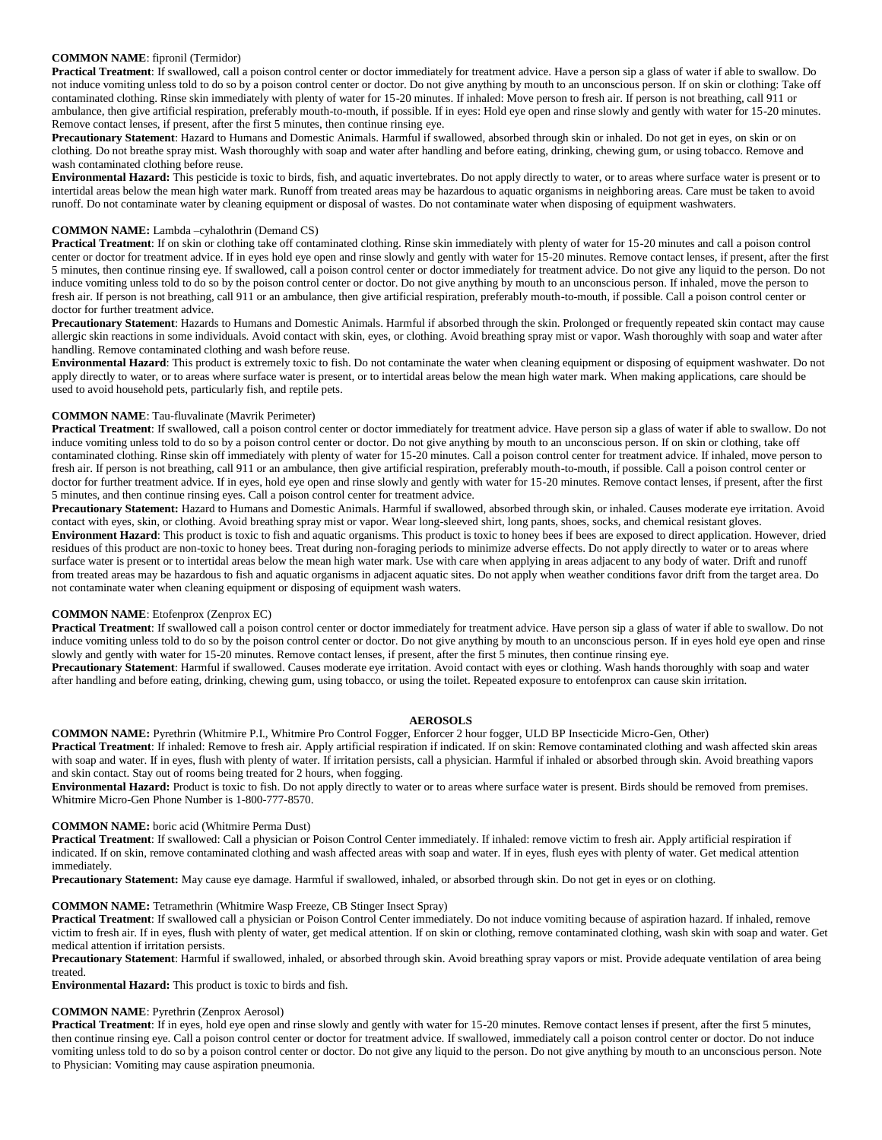## **COMMON NAME**: fipronil (Termidor)

**Practical Treatment**: If swallowed, call a poison control center or doctor immediately for treatment advice. Have a person sip a glass of water if able to swallow. Do not induce vomiting unless told to do so by a poison control center or doctor. Do not give anything by mouth to an unconscious person. If on skin or clothing: Take off contaminated clothing. Rinse skin immediately with plenty of water for 15-20 minutes. If inhaled: Move person to fresh air. If person is not breathing, call 911 or ambulance, then give artificial respiration, preferably mouth-to-mouth, if possible. If in eyes: Hold eye open and rinse slowly and gently with water for 15-20 minutes. Remove contact lenses, if present, after the first 5 minutes, then continue rinsing eye.

**Precautionary Statement**: Hazard to Humans and Domestic Animals. Harmful if swallowed, absorbed through skin or inhaled. Do not get in eyes, on skin or on clothing. Do not breathe spray mist. Wash thoroughly with soap and water after handling and before eating, drinking, chewing gum, or using tobacco. Remove and wash contaminated clothing before reuse.

**Environmental Hazard:** This pesticide is toxic to birds, fish, and aquatic invertebrates. Do not apply directly to water, or to areas where surface water is present or to intertidal areas below the mean high water mark. Runoff from treated areas may be hazardous to aquatic organisms in neighboring areas. Care must be taken to avoid runoff. Do not contaminate water by cleaning equipment or disposal of wastes. Do not contaminate water when disposing of equipment washwaters.

## **COMMON NAME:** Lambda –cyhalothrin (Demand CS)

**Practical Treatment**: If on skin or clothing take off contaminated clothing. Rinse skin immediately with plenty of water for 15-20 minutes and call a poison control center or doctor for treatment advice. If in eyes hold eye open and rinse slowly and gently with water for 15-20 minutes. Remove contact lenses, if present, after the first 5 minutes, then continue rinsing eye. If swallowed, call a poison control center or doctor immediately for treatment advice. Do not give any liquid to the person. Do not induce vomiting unless told to do so by the poison control center or doctor. Do not give anything by mouth to an unconscious person. If inhaled, move the person to fresh air. If person is not breathing, call 911 or an ambulance, then give artificial respiration, preferably mouth-to-mouth, if possible. Call a poison control center or doctor for further treatment advice.

**Precautionary Statement**: Hazards to Humans and Domestic Animals. Harmful if absorbed through the skin. Prolonged or frequently repeated skin contact may cause allergic skin reactions in some individuals. Avoid contact with skin, eyes, or clothing. Avoid breathing spray mist or vapor. Wash thoroughly with soap and water after handling. Remove contaminated clothing and wash before reuse.

**Environmental Hazard**: This product is extremely toxic to fish. Do not contaminate the water when cleaning equipment or disposing of equipment washwater. Do not apply directly to water, or to areas where surface water is present, or to intertidal areas below the mean high water mark. When making applications, care should be used to avoid household pets, particularly fish, and reptile pets.

## **COMMON NAME**: Tau-fluvalinate (Mavrik Perimeter)

**Practical Treatment**: If swallowed, call a poison control center or doctor immediately for treatment advice. Have person sip a glass of water if able to swallow. Do not induce vomiting unless told to do so by a poison control center or doctor. Do not give anything by mouth to an unconscious person. If on skin or clothing, take off contaminated clothing. Rinse skin off immediately with plenty of water for 15-20 minutes. Call a poison control center for treatment advice. If inhaled, move person to fresh air. If person is not breathing, call 911 or an ambulance, then give artificial respiration, preferably mouth-to-mouth, if possible. Call a poison control center or doctor for further treatment advice. If in eyes, hold eye open and rinse slowly and gently with water for 15-20 minutes. Remove contact lenses, if present, after the first 5 minutes, and then continue rinsing eyes. Call a poison control center for treatment advice.

**Precautionary Statement:** Hazard to Humans and Domestic Animals. Harmful if swallowed, absorbed through skin, or inhaled. Causes moderate eye irritation. Avoid contact with eyes, skin, or clothing. Avoid breathing spray mist or vapor. Wear long-sleeved shirt, long pants, shoes, socks, and chemical resistant gloves. **Environment Hazard**: This product is toxic to fish and aquatic organisms. This product is toxic to honey bees if bees are exposed to direct application. However, dried residues of this product are non-toxic to honey bees. Treat during non-foraging periods to minimize adverse effects. Do not apply directly to water or to areas where surface water is present or to intertidal areas below the mean high water mark. Use with care when applying in areas adjacent to any body of water. Drift and runoff from treated areas may be hazardous to fish and aquatic organisms in adjacent aquatic sites. Do not apply when weather conditions favor drift from the target area. Do not contaminate water when cleaning equipment or disposing of equipment wash waters.

## **COMMON NAME**: Etofenprox (Zenprox EC)

**Practical Treatment**: If swallowed call a poison control center or doctor immediately for treatment advice. Have person sip a glass of water if able to swallow. Do not induce vomiting unless told to do so by the poison control center or doctor. Do not give anything by mouth to an unconscious person. If in eyes hold eye open and rinse slowly and gently with water for 15-20 minutes. Remove contact lenses, if present, after the first 5 minutes, then continue rinsing eye. **Precautionary Statement**: Harmful if swallowed. Causes moderate eye irritation. Avoid contact with eyes or clothing. Wash hands thoroughly with soap and water after handling and before eating, drinking, chewing gum, using tobacco, or using the toilet. Repeated exposure to entofenprox can cause skin irritation.

#### **AEROSOLS**

**COMMON NAME:** Pyrethrin (Whitmire P.I., Whitmire Pro Control Fogger, Enforcer 2 hour fogger, ULD BP Insecticide Micro-Gen, Other) **Practical Treatment**: If inhaled: Remove to fresh air. Apply artificial respiration if indicated. If on skin: Remove contaminated clothing and wash affected skin areas with soap and water. If in eyes, flush with plenty of water. If irritation persists, call a physician. Harmful if inhaled or absorbed through skin. Avoid breathing vapors and skin contact. Stay out of rooms being treated for 2 hours, when fogging.

**Environmental Hazard:** Product is toxic to fish. Do not apply directly to water or to areas where surface water is present. Birds should be removed from premises. Whitmire Micro-Gen Phone Number is 1-800-777-8570.

#### **COMMON NAME:** boric acid (Whitmire Perma Dust)

**Practical Treatment**: If swallowed: Call a physician or Poison Control Center immediately. If inhaled: remove victim to fresh air. Apply artificial respiration if indicated. If on skin, remove contaminated clothing and wash affected areas with soap and water. If in eyes, flush eyes with plenty of water. Get medical attention immediately.

**Precautionary Statement:** May cause eye damage. Harmful if swallowed, inhaled, or absorbed through skin. Do not get in eyes or on clothing.

#### **COMMON NAME:** Tetramethrin (Whitmire Wasp Freeze, CB Stinger Insect Spray)

**Practical Treatment**: If swallowed call a physician or Poison Control Center immediately. Do not induce vomiting because of aspiration hazard. If inhaled, remove victim to fresh air. If in eyes, flush with plenty of water, get medical attention. If on skin or clothing, remove contaminated clothing, wash skin with soap and water. Get medical attention if irritation persists.

**Precautionary Statement**: Harmful if swallowed, inhaled, or absorbed through skin. Avoid breathing spray vapors or mist. Provide adequate ventilation of area being treated.

**Environmental Hazard:** This product is toxic to birds and fish.

#### **COMMON NAME**: Pyrethrin (Zenprox Aerosol)

**Practical Treatment**: If in eyes, hold eye open and rinse slowly and gently with water for 15-20 minutes. Remove contact lenses if present, after the first 5 minutes, then continue rinsing eye. Call a poison control center or doctor for treatment advice. If swallowed, immediately call a poison control center or doctor. Do not induce vomiting unless told to do so by a poison control center or doctor. Do not give any liquid to the person. Do not give anything by mouth to an unconscious person. Note to Physician: Vomiting may cause aspiration pneumonia.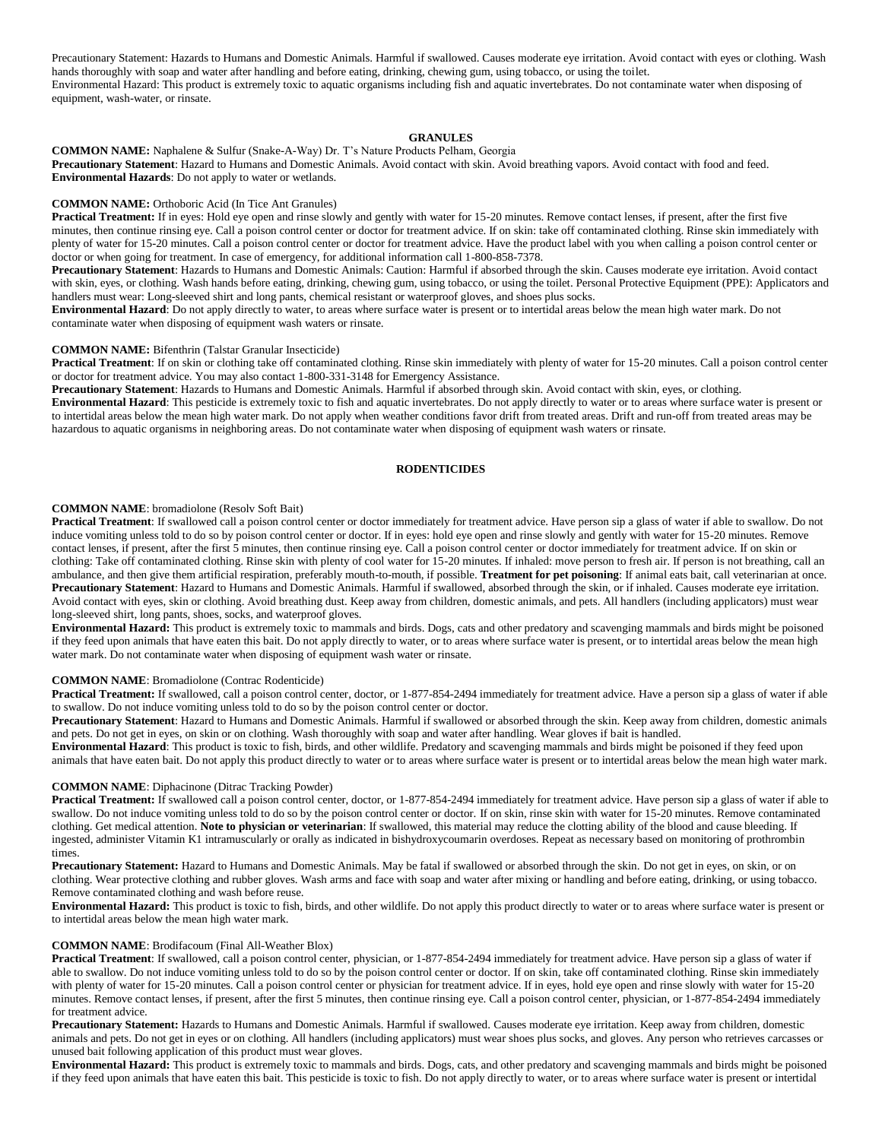Precautionary Statement: Hazards to Humans and Domestic Animals. Harmful if swallowed. Causes moderate eye irritation. Avoid contact with eyes or clothing. Wash hands thoroughly with soap and water after handling and before eating, drinking, chewing gum, using tobacco, or using the toilet. Environmental Hazard: This product is extremely toxic to aquatic organisms including fish and aquatic invertebrates. Do not contaminate water when disposing of equipment, wash-water, or rinsate.

## **GRANULES**

**COMMON NAME:** Naphalene & Sulfur (Snake-A-Way) Dr. T's Nature Products Pelham, Georgia **Precautionary Statement**: Hazard to Humans and Domestic Animals. Avoid contact with skin. Avoid breathing vapors. Avoid contact with food and feed. **Environmental Hazards**: Do not apply to water or wetlands.

## **COMMON NAME:** Orthoboric Acid (In Tice Ant Granules)

**Practical Treatment:** If in eyes: Hold eye open and rinse slowly and gently with water for 15-20 minutes. Remove contact lenses, if present, after the first five minutes, then continue rinsing eye. Call a poison control center or doctor for treatment advice. If on skin: take off contaminated clothing. Rinse skin immediately with plenty of water for 15-20 minutes. Call a poison control center or doctor for treatment advice. Have the product label with you when calling a poison control center or doctor or when going for treatment. In case of emergency, for additional information call 1-800-858-7378.

**Precautionary Statement**: Hazards to Humans and Domestic Animals: Caution: Harmful if absorbed through the skin. Causes moderate eye irritation. Avoid contact with skin, eyes, or clothing. Wash hands before eating, drinking, chewing gum, using tobacco, or using the toilet. Personal Protective Equipment (PPE): Applicators and handlers must wear: Long-sleeved shirt and long pants, chemical resistant or waterproof gloves, and shoes plus socks.

**Environmental Hazard**: Do not apply directly to water, to areas where surface water is present or to intertidal areas below the mean high water mark. Do not contaminate water when disposing of equipment wash waters or rinsate.

### **COMMON NAME:** Bifenthrin (Talstar Granular Insecticide)

**Practical Treatment**: If on skin or clothing take off contaminated clothing. Rinse skin immediately with plenty of water for 15-20 minutes. Call a poison control center or doctor for treatment advice. You may also contact 1-800-331-3148 for Emergency Assistance.

**Precautionary Statement**: Hazards to Humans and Domestic Animals. Harmful if absorbed through skin. Avoid contact with skin, eyes, or clothing.

**Environmental Hazard**: This pesticide is extremely toxic to fish and aquatic invertebrates. Do not apply directly to water or to areas where surface water is present or to intertidal areas below the mean high water mark. Do not apply when weather conditions favor drift from treated areas. Drift and run-off from treated areas may be hazardous to aquatic organisms in neighboring areas. Do not contaminate water when disposing of equipment wash waters or rinsate.

## **RODENTICIDES**

## **COMMON NAME**: bromadiolone (Resolv Soft Bait)

**Practical Treatment**: If swallowed call a poison control center or doctor immediately for treatment advice. Have person sip a glass of water if able to swallow. Do not induce vomiting unless told to do so by poison control center or doctor. If in eyes: hold eye open and rinse slowly and gently with water for 15-20 minutes. Remove contact lenses, if present, after the first 5 minutes, then continue rinsing eye. Call a poison control center or doctor immediately for treatment advice. If on skin or clothing: Take off contaminated clothing. Rinse skin with plenty of cool water for 15-20 minutes. If inhaled: move person to fresh air. If person is not breathing, call an ambulance, and then give them artificial respiration, preferably mouth-to-mouth, if possible. **Treatment for pet poisoning**: If animal eats bait, call veterinarian at once. **Precautionary Statement**: Hazard to Humans and Domestic Animals. Harmful if swallowed, absorbed through the skin, or if inhaled. Causes moderate eye irritation. Avoid contact with eyes, skin or clothing. Avoid breathing dust. Keep away from children, domestic animals, and pets. All handlers (including applicators) must wear long-sleeved shirt, long pants, shoes, socks, and waterproof gloves.

**Environmental Hazard:** This product is extremely toxic to mammals and birds. Dogs, cats and other predatory and scavenging mammals and birds might be poisoned if they feed upon animals that have eaten this bait. Do not apply directly to water, or to areas where surface water is present, or to intertidal areas below the mean high water mark. Do not contaminate water when disposing of equipment wash water or rinsate.

#### **COMMON NAME**: Bromadiolone (Contrac Rodenticide)

**Practical Treatment:** If swallowed, call a poison control center, doctor, or 1-877-854-2494 immediately for treatment advice. Have a person sip a glass of water if able to swallow. Do not induce vomiting unless told to do so by the poison control center or doctor.

**Precautionary Statement**: Hazard to Humans and Domestic Animals. Harmful if swallowed or absorbed through the skin. Keep away from children, domestic animals and pets. Do not get in eyes, on skin or on clothing. Wash thoroughly with soap and water after handling. Wear gloves if bait is handled.

**Environmental Hazard**: This product is toxic to fish, birds, and other wildlife. Predatory and scavenging mammals and birds might be poisoned if they feed upon animals that have eaten bait. Do not apply this product directly to water or to areas where surface water is present or to intertidal areas below the mean high water mark.

## **COMMON NAME**: Diphacinone (Ditrac Tracking Powder)

**Practical Treatment:** If swallowed call a poison control center, doctor, or 1-877-854-2494 immediately for treatment advice. Have person sip a glass of water if able to swallow. Do not induce vomiting unless told to do so by the poison control center or doctor. If on skin, rinse skin with water for 15-20 minutes. Remove contaminated clothing. Get medical attention. **Note to physician or veterinarian**: If swallowed, this material may reduce the clotting ability of the blood and cause bleeding. If ingested, administer Vitamin K1 intramuscularly or orally as indicated in bishydroxycoumarin overdoses. Repeat as necessary based on monitoring of prothrombin times.

**Precautionary Statement:** Hazard to Humans and Domestic Animals. May be fatal if swallowed or absorbed through the skin. Do not get in eyes, on skin, or on clothing. Wear protective clothing and rubber gloves. Wash arms and face with soap and water after mixing or handling and before eating, drinking, or using tobacco. Remove contaminated clothing and wash before reuse.

**Environmental Hazard:** This product is toxic to fish, birds, and other wildlife. Do not apply this product directly to water or to areas where surface water is present or to intertidal areas below the mean high water mark.

#### **COMMON NAME**: Brodifacoum (Final All-Weather Blox)

**Practical Treatment**: If swallowed, call a poison control center, physician, or 1-877-854-2494 immediately for treatment advice. Have person sip a glass of water if able to swallow. Do not induce vomiting unless told to do so by the poison control center or doctor. If on skin, take off contaminated clothing. Rinse skin immediately with plenty of water for 15-20 minutes. Call a poison control center or physician for treatment advice. If in eyes, hold eye open and rinse slowly with water for 15-20 minutes. Remove contact lenses, if present, after the first 5 minutes, then continue rinsing eye. Call a poison control center, physician, or 1-877-854-2494 immediately for treatment advice.

**Precautionary Statement:** Hazards to Humans and Domestic Animals. Harmful if swallowed. Causes moderate eye irritation. Keep away from children, domestic animals and pets. Do not get in eyes or on clothing. All handlers (including applicators) must wear shoes plus socks, and gloves. Any person who retrieves carcasses or unused bait following application of this product must wear gloves.

**Environmental Hazard:** This product is extremely toxic to mammals and birds. Dogs, cats, and other predatory and scavenging mammals and birds might be poisoned if they feed upon animals that have eaten this bait. This pesticide is toxic to fish. Do not apply directly to water, or to areas where surface water is present or intertidal